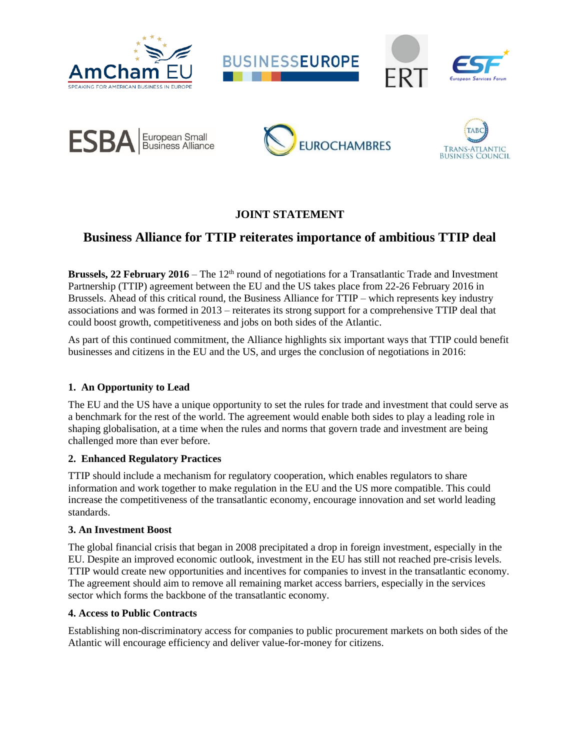











## **JOINT STATEMENT**

# **Business Alliance for TTIP reiterates importance of ambitious TTIP deal**

**Brussels, 22 February 2016** – The 12<sup>th</sup> round of negotiations for a Transatlantic Trade and Investment Partnership (TTIP) agreement between the EU and the US takes place from 22-26 February 2016 in Brussels. Ahead of this critical round, the Business Alliance for TTIP – which represents key industry associations and was formed in 2013 – reiterates its strong support for a comprehensive TTIP deal that could boost growth, competitiveness and jobs on both sides of the Atlantic.

As part of this continued commitment, the Alliance highlights six important ways that TTIP could benefit businesses and citizens in the EU and the US, and urges the conclusion of negotiations in 2016:

#### **1. An Opportunity to Lead**

The EU and the US have a unique opportunity to set the rules for trade and investment that could serve as a benchmark for the rest of the world. The agreement would enable both sides to play a leading role in shaping globalisation, at a time when the rules and norms that govern trade and investment are being challenged more than ever before.

#### **2. Enhanced Regulatory Practices**

TTIP should include a mechanism for regulatory cooperation, which enables regulators to share information and work together to make regulation in the EU and the US more compatible. This could increase the competitiveness of the transatlantic economy, encourage innovation and set world leading standards.

#### **3. An Investment Boost**

The global financial crisis that began in 2008 precipitated a drop in foreign investment, especially in the EU. Despite an improved economic outlook, investment in the EU has still not reached pre-crisis levels. TTIP would create new opportunities and incentives for companies to invest in the transatlantic economy. The agreement should aim to remove all remaining market access barriers, especially in the services sector which forms the backbone of the transatlantic economy.

#### **4. Access to Public Contracts**

Establishing non-discriminatory access for companies to public procurement markets on both sides of the Atlantic will encourage efficiency and deliver value-for-money for citizens.